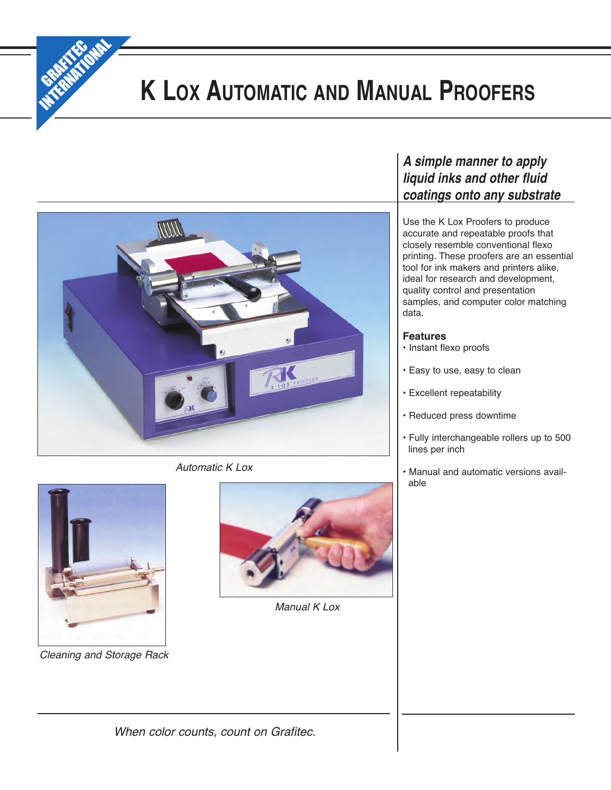

# **K LOX AUTOMATIC AND MANUAL PROOFERS**



*Automatic K Lox*



*Cleaning and Storage Rack*



*Manual K Lox*

# *A simple manner to apply liquid inks and other fluid coatings onto any substrate*

Use the K Lox Proofers to produce accurate and repeatable proofs that closely resemble conventional flexo printing. These proofers are an essential tool for ink makers and printers alike, ideal for research and development, quality control and presentation samples, and computer color matching data.

# **Features**

- Instant flexo proofs
- Easy to use, easy to clean
- Excellent repeatability
- Reduced press downtime
- Fully interchangeable rollers up to 500 lines per inch
- Manual and automatic versions available